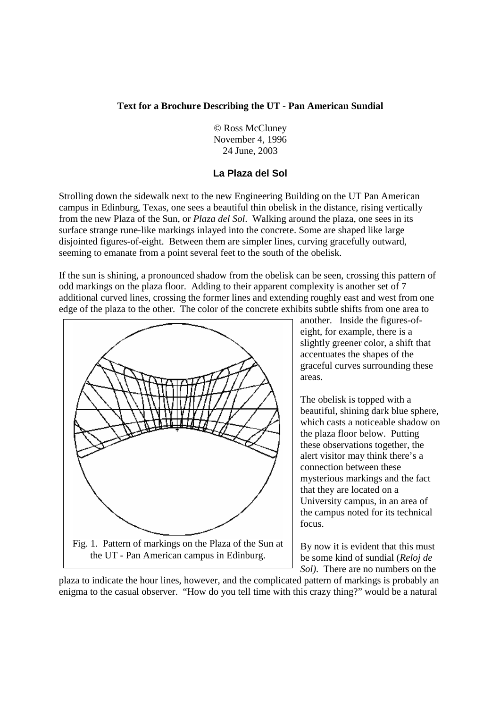#### **Text for a Brochure Describing the UT - Pan American Sundial**

 © Ross McCluney November 4, 1996 24 June, 2003

#### **La Plaza del Sol**

Strolling down the sidewalk next to the new Engineering Building on the UT Pan American campus in Edinburg, Texas, one sees a beautiful thin obelisk in the distance, rising vertically from the new Plaza of the Sun, or *Plaza del Sol*. Walking around the plaza, one sees in its surface strange rune-like markings inlayed into the concrete. Some are shaped like large disjointed figures-of-eight. Between them are simpler lines, curving gracefully outward, seeming to emanate from a point several feet to the south of the obelisk.

If the sun is shining, a pronounced shadow from the obelisk can be seen, crossing this pattern of odd markings on the plaza floor. Adding to their apparent complexity is another set of 7 additional curved lines, crossing the former lines and extending roughly east and west from one edge of the plaza to the other. The color of the concrete exhibits subtle shifts from one area to



another. Inside the figures-ofeight, for example, there is a slightly greener color, a shift that accentuates the shapes of the graceful curves surrounding these areas.

The obelisk is topped with a beautiful, shining dark blue sphere, which casts a noticeable shadow on the plaza floor below. Putting these observations together, the alert visitor may think there's a connection between these mysterious markings and the fact that they are located on a University campus, in an area of the campus noted for its technical focus.

By now it is evident that this must be some kind of sundial (*Reloj de Sol)*. There are no numbers on the

plaza to indicate the hour lines, however, and the complicated pattern of markings is probably an enigma to the casual observer. "How do you tell time with this crazy thing?" would be a natural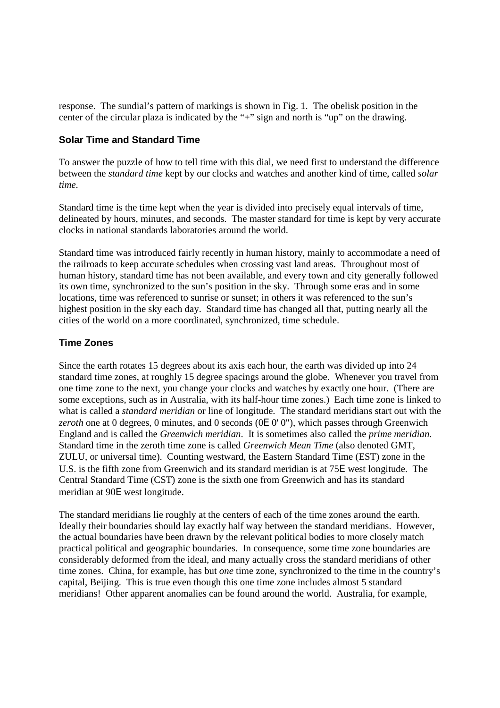response. The sundial's pattern of markings is shown in Fig. 1. The obelisk position in the center of the circular plaza is indicated by the "+" sign and north is "up" on the drawing.

#### **Solar Time and Standard Time**

To answer the puzzle of how to tell time with this dial, we need first to understand the difference between the *standard time* kept by our clocks and watches and another kind of time, called *solar time*.

Standard time is the time kept when the year is divided into precisely equal intervals of time, delineated by hours, minutes, and seconds. The master standard for time is kept by very accurate clocks in national standards laboratories around the world.

Standard time was introduced fairly recently in human history, mainly to accommodate a need of the railroads to keep accurate schedules when crossing vast land areas. Throughout most of human history, standard time has not been available, and every town and city generally followed its own time, synchronized to the sun's position in the sky. Through some eras and in some locations, time was referenced to sunrise or sunset; in others it was referenced to the sun's highest position in the sky each day. Standard time has changed all that, putting nearly all the cities of the world on a more coordinated, synchronized, time schedule.

### **Time Zones**

Since the earth rotates 15 degrees about its axis each hour, the earth was divided up into 24 standard time zones, at roughly 15 degree spacings around the globe. Whenever you travel from one time zone to the next, you change your clocks and watches by exactly one hour. (There are some exceptions, such as in Australia, with its half-hour time zones.) Each time zone is linked to what is called a *standard meridian* or line of longitude. The standard meridians start out with the *zeroth* one at 0 degrees, 0 minutes, and 0 seconds (0Ε 0' 0"), which passes through Greenwich England and is called the *Greenwich meridian*. It is sometimes also called the *prime meridian*. Standard time in the zeroth time zone is called *Greenwich Mean Time* (also denoted GMT, ZULU, or universal time). Counting westward, the Eastern Standard Time (EST) zone in the U.S. is the fifth zone from Greenwich and its standard meridian is at 75Ε west longitude. The Central Standard Time (CST) zone is the sixth one from Greenwich and has its standard meridian at 90Ε west longitude.

The standard meridians lie roughly at the centers of each of the time zones around the earth. Ideally their boundaries should lay exactly half way between the standard meridians. However, the actual boundaries have been drawn by the relevant political bodies to more closely match practical political and geographic boundaries. In consequence, some time zone boundaries are considerably deformed from the ideal, and many actually cross the standard meridians of other time zones. China, for example, has but *one* time zone, synchronized to the time in the country's capital, Beijing. This is true even though this one time zone includes almost 5 standard meridians! Other apparent anomalies can be found around the world. Australia, for example,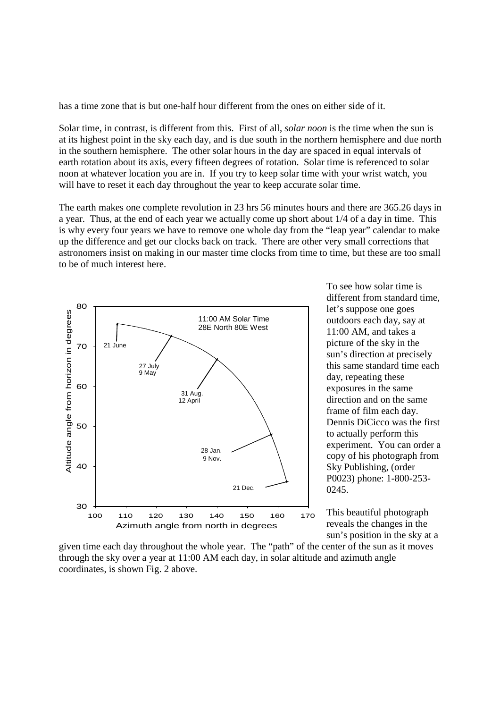has a time zone that is but one-half hour different from the ones on either side of it.

Solar time, in contrast, is different from this. First of all, *solar noon* is the time when the sun is at its highest point in the sky each day, and is due south in the northern hemisphere and due north in the southern hemisphere. The other solar hours in the day are spaced in equal intervals of earth rotation about its axis, every fifteen degrees of rotation. Solar time is referenced to solar noon at whatever location you are in. If you try to keep solar time with your wrist watch, you will have to reset it each day throughout the year to keep accurate solar time.

The earth makes one complete revolution in 23 hrs 56 minutes hours and there are 365.26 days in a year. Thus, at the end of each year we actually come up short about 1/4 of a day in time. This is why every four years we have to remove one whole day from the "leap year" calendar to make up the difference and get our clocks back on track. There are other very small corrections that astronomers insist on making in our master time clocks from time to time, but these are too small to be of much interest here.



To see how solar time is different from standard time, let's suppose one goes outdoors each day, say at 11:00 AM, and takes a picture of the sky in the sun's direction at precisely this same standard time each day, repeating these exposures in the same direction and on the same frame of film each day. Dennis DiCicco was the first to actually perform this experiment. You can order a copy of his photograph from Sky Publishing, (order P0023) phone: 1-800-253- 0245.

This beautiful photograph reveals the changes in the sun's position in the sky at a

given time each day throughout the whole year. The "path" of the center of the sun as it moves through the sky over a year at 11:00 AM each day, in solar altitude and azimuth angle coordinates, is shown Fig. 2 above.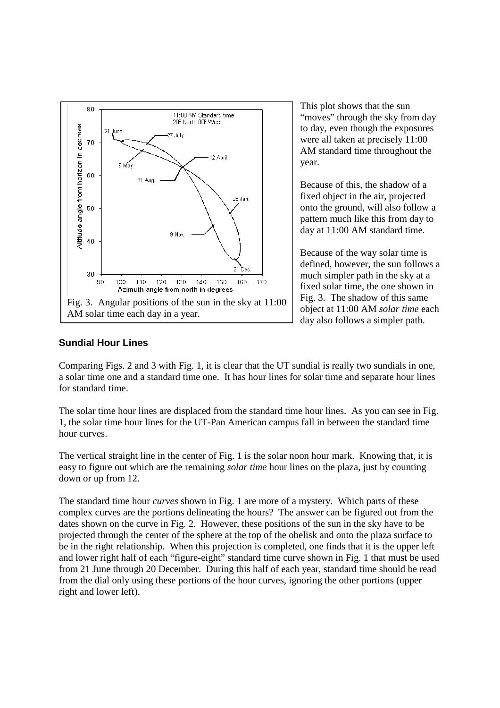

This plot shows that the sun "moves" through the sky from day to day, even though the exposures were all taken at precisely 11:00 AM standard time throughout the year.

Because of this, the shadow of a fixed object in the air, projected onto the ground, will also follow a pattern much like this from day to day at 11:00 AM standard time.

Because of the way solar time is defined, however, the sun follows a much simpler path in the sky at a fixed solar time, the one shown in Fig. 3. The shadow of this same object at 11:00 AM *solar time* each day also follows a simpler path.

# **Sundial Hour Lines**

Comparing Figs. 2 and 3 with Fig. 1, it is clear that the UT sundial is really two sundials in one, a solar time one and a standard time one. It has hour lines for solar time and separate hour lines for standard time.

The solar time hour lines are displaced from the standard time hour lines. As you can see in Fig. 1, the solar time hour lines for the UT-Pan American campus fall in between the standard time hour curves.

The vertical straight line in the center of Fig. 1 is the solar noon hour mark. Knowing that, it is easy to figure out which are the remaining *solar time* hour lines on the plaza, just by counting down or up from 12.

The standard time hour *curves* shown in Fig. 1 are more of a mystery. Which parts of these complex curves are the portions delineating the hours? The answer can be figured out from the dates shown on the curve in Fig. 2. However, these positions of the sun in the sky have to be projected through the center of the sphere at the top of the obelisk and onto the plaza surface to be in the right relationship. When this projection is completed, one finds that it is the upper left and lower right half of each "figure-eight" standard time curve shown in Fig. 1 that must be used from 21 June through 20 December. During this half of each year, standard time should be read from the dial only using these portions of the hour curves, ignoring the other portions (upper right and lower left).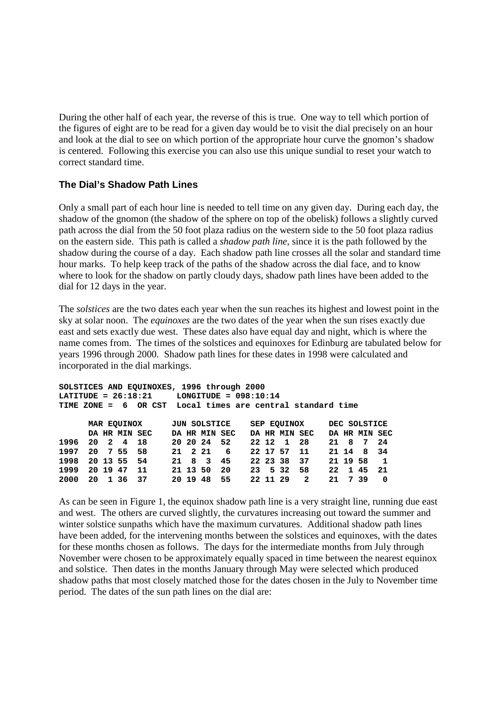During the other half of each year, the reverse of this is true. One way to tell which portion of the figures of eight are to be read for a given day would be to visit the dial precisely on an hour and look at the dial to see on which portion of the appropriate hour curve the gnomon's shadow is centered. Following this exercise you can also use this unique sundial to reset your watch to correct standard time.

### **The Dial's Shadow Path Lines**

Only a small part of each hour line is needed to tell time on any given day. During each day, the shadow of the gnomon (the shadow of the sphere on top of the obelisk) follows a slightly curved path across the dial from the 50 foot plaza radius on the western side to the 50 foot plaza radius on the eastern side. This path is called a *shadow path line*, since it is the path followed by the shadow during the course of a day. Each shadow path line crosses all the solar and standard time hour marks. To help keep track of the paths of the shadow across the dial face, and to know where to look for the shadow on partly cloudy days, shadow path lines have been added to the dial for 12 days in the year.

The *solstices* are the two dates each year when the sun reaches its highest and lowest point in the sky at solar noon. The *equinoxes* are the two dates of the year when the sun rises exactly due east and sets exactly due west. These dates also have equal day and night, which is where the name comes from. The times of the solstices and equinoxes for Edinburg are tabulated below for years 1996 through 2000. Shadow path lines for these dates in 1998 were calculated and incorporated in the dial markings.

| SOLSTICES AND EQUINOXES, 1996 through 2000                 |             |          |               |     |              |          |               |      |             |          |               |              |          |  |               |              |
|------------------------------------------------------------|-------------|----------|---------------|-----|--------------|----------|---------------|------|-------------|----------|---------------|--------------|----------|--|---------------|--------------|
| $LATITIVE = 26:18:21$<br>$LONGITUDE = 098:10:14$           |             |          |               |     |              |          |               |      |             |          |               |              |          |  |               |              |
| TIME ZONE = 6 OR CST Local times are central standard time |             |          |               |     |              |          |               |      |             |          |               |              |          |  |               |              |
|                                                            |             |          |               |     |              |          |               |      |             |          |               |              |          |  |               |              |
|                                                            | MAR EQUINOX |          |               |     | JUN SOLSTICE |          |               |      | SEP EQUINOX |          |               | DEC SOLSTICE |          |  |               |              |
|                                                            |             |          | DA HR MIN SEC |     |              |          | DA HR MIN SEC |      |             |          | DA HR MIN SEC |              |          |  | DA HR MIN SEC |              |
| 1996                                                       | 20          |          | 2 4 18        |     |              |          | 20 20 24 52   |      |             | 22 12 1  |               | - 28         | 21 8     |  | 7             | 24           |
| 1997                                                       | 20          |          | 755           | 58  |              | 21 2 21  |               | 6    |             | 22 17 57 |               | -11          | 21 14    |  | 8             | - 34         |
| 1998                                                       |             |          | 20 13 55 54   |     |              |          | 21 8 3        | - 45 |             |          | 22 23 38 37   |              | 21 19 58 |  |               | $\mathbf{1}$ |
| 1999                                                       |             | 20 19 47 |               | 11  |              | 21 13 50 |               | 20   |             | 23 5 32  |               | 58           | 22       |  | 1 45          | 21           |
| 2000                                                       | 20          |          | 1 36          | -37 |              | 20 19 48 |               | 55   |             | 22 11 29 |               | -2           | 21       |  | 739           | 0            |

As can be seen in Figure 1, the equinox shadow path line is a very straight line, running due east and west. The others are curved slightly, the curvatures increasing out toward the summer and winter solstice sunpaths which have the maximum curvatures. Additional shadow path lines have been added, for the intervening months between the solstices and equinoxes, with the dates for these months chosen as follows. The days for the intermediate months from July through November were chosen to be approximately equally spaced in time between the nearest equinox and solstice. Then dates in the months January through May were selected which produced shadow paths that most closely matched those for the dates chosen in the July to November time period. The dates of the sun path lines on the dial are: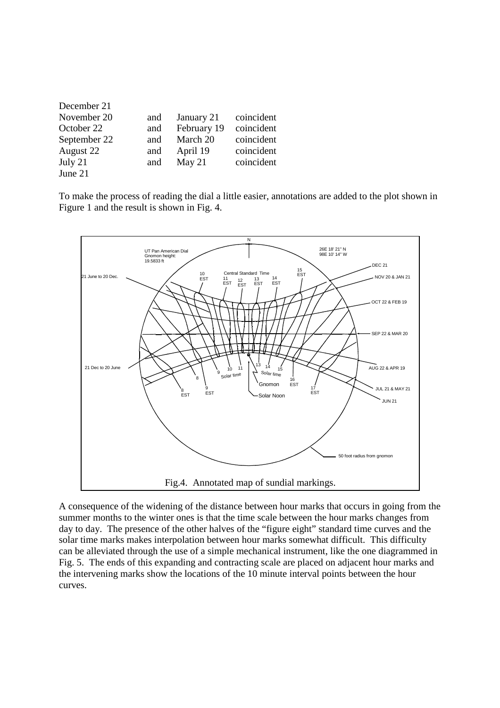| December 21  |     |             |            |
|--------------|-----|-------------|------------|
| November 20  | and | January 21  | coincident |
| October 22   | and | February 19 | coincident |
| September 22 | and | March 20    | coincident |
| August 22    | and | April 19    | coincident |
| July $21$    | and | May $21$    | coincident |
| June 21      |     |             |            |

To make the process of reading the dial a little easier, annotations are added to the plot shown in Figure 1 and the result is shown in Fig. 4.



A consequence of the widening of the distance between hour marks that occurs in going from the summer months to the winter ones is that the time scale between the hour marks changes from day to day. The presence of the other halves of the "figure eight" standard time curves and the solar time marks makes interpolation between hour marks somewhat difficult. This difficulty can be alleviated through the use of a simple mechanical instrument, like the one diagrammed in Fig. 5. The ends of this expanding and contracting scale are placed on adjacent hour marks and the intervening marks show the locations of the 10 minute interval points between the hour curves.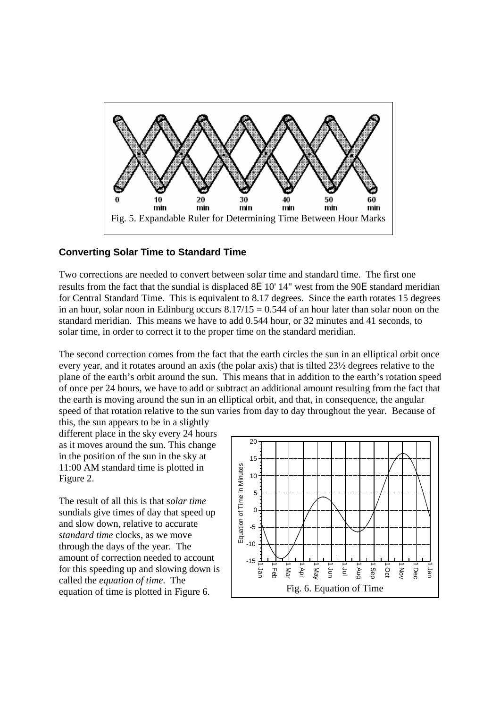

# **Converting Solar Time to Standard Time**

Two corrections are needed to convert between solar time and standard time. The first one results from the fact that the sundial is displaced 8Ε 10' 14" west from the 90Ε standard meridian for Central Standard Time. This is equivalent to 8.17 degrees. Since the earth rotates 15 degrees in an hour, solar noon in Edinburg occurs  $8.17/15 = 0.544$  of an hour later than solar noon on the standard meridian. This means we have to add 0.544 hour, or 32 minutes and 41 seconds, to solar time, in order to correct it to the proper time on the standard meridian.

The second correction comes from the fact that the earth circles the sun in an elliptical orbit once every year, and it rotates around an axis (the polar axis) that is tilted 23½ degrees relative to the plane of the earth's orbit around the sun. This means that in addition to the earth's rotation speed of once per 24 hours, we have to add or subtract an additional amount resulting from the fact that the earth is moving around the sun in an elliptical orbit, and that, in consequence, the angular speed of that rotation relative to the sun varies from day to day throughout the year. Because of

this, the sun appears to be in a slightly different place in the sky every 24 hours as it moves around the sun. This change in the position of the sun in the sky at 11:00 AM standard time is plotted in Figure 2.

The result of all this is that *solar time* sundials give times of day that speed up and slow down, relative to accurate *standard time* clocks, as we move through the days of the year. The amount of correction needed to account for this speeding up and slowing down is called the *equation of time*. The equation of time is plotted in Figure 6.

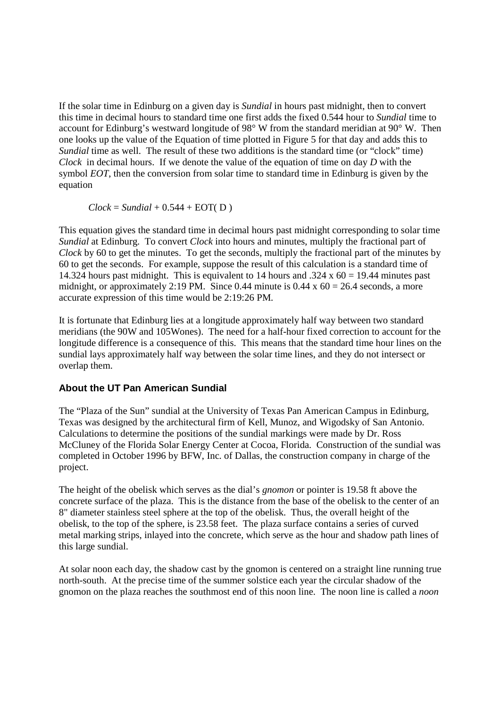If the solar time in Edinburg on a given day is *Sundial* in hours past midnight, then to convert this time in decimal hours to standard time one first adds the fixed 0.544 hour to *Sundial* time to account for Edinburg's westward longitude of 98° W from the standard meridian at 90° W. Then one looks up the value of the Equation of time plotted in Figure 5 for that day and adds this to *Sundial* time as well. The result of these two additions is the standard time (or "clock" time) *Clock* in decimal hours. If we denote the value of the equation of time on day *D* with the symbol *EOT*, then the conversion from solar time to standard time in Edinburg is given by the equation

 $Clock = Sundial + 0.544 + EOT(D)$ 

This equation gives the standard time in decimal hours past midnight corresponding to solar time *Sundial* at Edinburg. To convert *Clock* into hours and minutes, multiply the fractional part of *Clock* by 60 to get the minutes. To get the seconds, multiply the fractional part of the minutes by 60 to get the seconds. For example, suppose the result of this calculation is a standard time of 14.324 hours past midnight. This is equivalent to 14 hours and .324 x  $60 = 19.44$  minutes past midnight, or approximately 2:19 PM. Since 0.44 minute is  $0.44 \times 60 = 26.4$  seconds, a more accurate expression of this time would be 2:19:26 PM.

It is fortunate that Edinburg lies at a longitude approximately half way between two standard meridians (the 90W and 105Wones). The need for a half-hour fixed correction to account for the longitude difference is a consequence of this. This means that the standard time hour lines on the sundial lays approximately half way between the solar time lines, and they do not intersect or overlap them.

# **About the UT Pan American Sundial**

The "Plaza of the Sun" sundial at the University of Texas Pan American Campus in Edinburg, Texas was designed by the architectural firm of Kell, Munoz, and Wigodsky of San Antonio. Calculations to determine the positions of the sundial markings were made by Dr. Ross McCluney of the Florida Solar Energy Center at Cocoa, Florida. Construction of the sundial was completed in October 1996 by BFW, Inc. of Dallas, the construction company in charge of the project.

The height of the obelisk which serves as the dial's *gnomon* or pointer is 19.58 ft above the concrete surface of the plaza. This is the distance from the base of the obelisk to the center of an 8" diameter stainless steel sphere at the top of the obelisk. Thus, the overall height of the obelisk, to the top of the sphere, is 23.58 feet. The plaza surface contains a series of curved metal marking strips, inlayed into the concrete, which serve as the hour and shadow path lines of this large sundial.

At solar noon each day, the shadow cast by the gnomon is centered on a straight line running true north-south. At the precise time of the summer solstice each year the circular shadow of the gnomon on the plaza reaches the southmost end of this noon line. The noon line is called a *noon*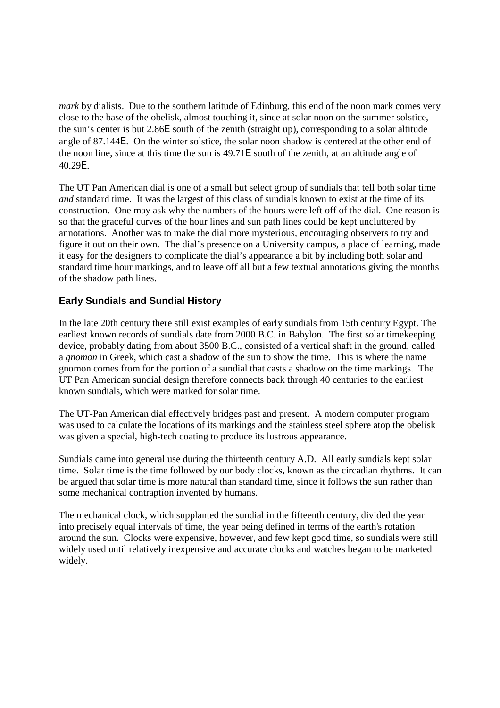*mark* by dialists. Due to the southern latitude of Edinburg, this end of the noon mark comes very close to the base of the obelisk, almost touching it, since at solar noon on the summer solstice, the sun's center is but 2.86Ε south of the zenith (straight up), corresponding to a solar altitude angle of 87.144Ε. On the winter solstice, the solar noon shadow is centered at the other end of the noon line, since at this time the sun is 49.71Ε south of the zenith, at an altitude angle of 40.29Ε.

The UT Pan American dial is one of a small but select group of sundials that tell both solar time *and* standard time. It was the largest of this class of sundials known to exist at the time of its construction. One may ask why the numbers of the hours were left off of the dial. One reason is so that the graceful curves of the hour lines and sun path lines could be kept uncluttered by annotations. Another was to make the dial more mysterious, encouraging observers to try and figure it out on their own. The dial's presence on a University campus, a place of learning, made it easy for the designers to complicate the dial's appearance a bit by including both solar and standard time hour markings, and to leave off all but a few textual annotations giving the months of the shadow path lines.

# **Early Sundials and Sundial History**

In the late 20th century there still exist examples of early sundials from 15th century Egypt. The earliest known records of sundials date from 2000 B.C. in Babylon. The first solar timekeeping device, probably dating from about 3500 B.C., consisted of a vertical shaft in the ground, called a *gnomon* in Greek, which cast a shadow of the sun to show the time. This is where the name gnomon comes from for the portion of a sundial that casts a shadow on the time markings. The UT Pan American sundial design therefore connects back through 40 centuries to the earliest known sundials, which were marked for solar time.

The UT-Pan American dial effectively bridges past and present. A modern computer program was used to calculate the locations of its markings and the stainless steel sphere atop the obelisk was given a special, high-tech coating to produce its lustrous appearance.

Sundials came into general use during the thirteenth century A.D. All early sundials kept solar time. Solar time is the time followed by our body clocks, known as the circadian rhythms. It can be argued that solar time is more natural than standard time, since it follows the sun rather than some mechanical contraption invented by humans.

The mechanical clock, which supplanted the sundial in the fifteenth century, divided the year into precisely equal intervals of time, the year being defined in terms of the earth's rotation around the sun. Clocks were expensive, however, and few kept good time, so sundials were still widely used until relatively inexpensive and accurate clocks and watches began to be marketed widely.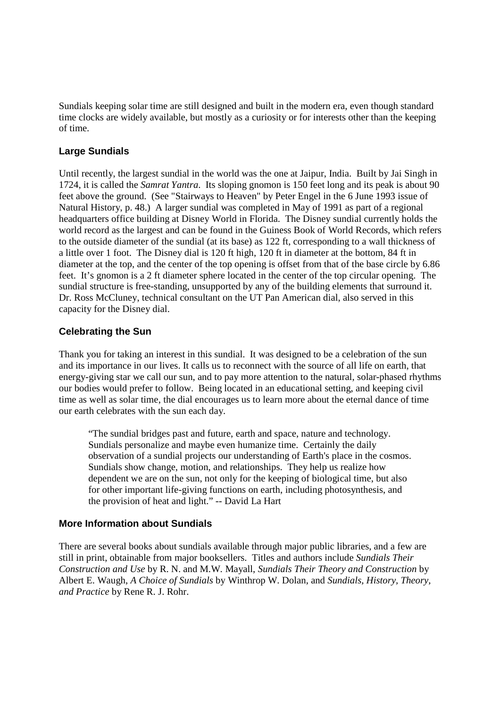Sundials keeping solar time are still designed and built in the modern era, even though standard time clocks are widely available, but mostly as a curiosity or for interests other than the keeping of time.

### **Large Sundials**

Until recently, the largest sundial in the world was the one at Jaipur, India. Built by Jai Singh in 1724, it is called the *Samrat Yantra*. Its sloping gnomon is 150 feet long and its peak is about 90 feet above the ground. (See "Stairways to Heaven" by Peter Engel in the 6 June 1993 issue of Natural History, p. 48.) A larger sundial was completed in May of 1991 as part of a regional headquarters office building at Disney World in Florida. The Disney sundial currently holds the world record as the largest and can be found in the Guiness Book of World Records, which refers to the outside diameter of the sundial (at its base) as 122 ft, corresponding to a wall thickness of a little over 1 foot. The Disney dial is 120 ft high, 120 ft in diameter at the bottom, 84 ft in diameter at the top, and the center of the top opening is offset from that of the base circle by 6.86 feet. It's gnomon is a 2 ft diameter sphere located in the center of the top circular opening. The sundial structure is free-standing, unsupported by any of the building elements that surround it. Dr. Ross McCluney, technical consultant on the UT Pan American dial, also served in this capacity for the Disney dial.

# **Celebrating the Sun**

Thank you for taking an interest in this sundial. It was designed to be a celebration of the sun and its importance in our lives. It calls us to reconnect with the source of all life on earth, that energy-giving star we call our sun, and to pay more attention to the natural, solar-phased rhythms our bodies would prefer to follow. Being located in an educational setting, and keeping civil time as well as solar time, the dial encourages us to learn more about the eternal dance of time our earth celebrates with the sun each day.

"The sundial bridges past and future, earth and space, nature and technology. Sundials personalize and maybe even humanize time. Certainly the daily observation of a sundial projects our understanding of Earth's place in the cosmos. Sundials show change, motion, and relationships. They help us realize how dependent we are on the sun, not only for the keeping of biological time, but also for other important life-giving functions on earth, including photosynthesis, and the provision of heat and light." -- David La Hart

#### **More Information about Sundials**

There are several books about sundials available through major public libraries, and a few are still in print, obtainable from major booksellers. Titles and authors include *Sundials Their Construction and Use* by R. N. and M.W. Mayall, *Sundials Their Theory and Construction* by Albert E. Waugh, *A Choice of Sundials* by Winthrop W. Dolan, and *Sundials, History, Theory, and Practice* by Rene R. J. Rohr.